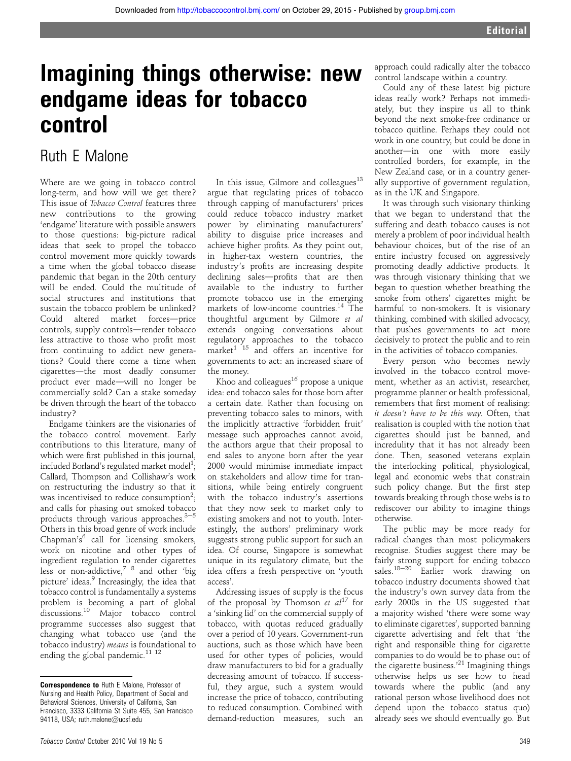# Imagining things otherwise: new endgame ideas for tobacco control

## Ruth E Malone

Where are we going in tobacco control long-term, and how will we get there? This issue of Tobacco Control features three new contributions to the growing 'endgame' literature with possible answers to those questions: big-picture radical ideas that seek to propel the tobacco control movement more quickly towards a time when the global tobacco disease pandemic that began in the 20th century will be ended. Could the multitude of social structures and institutions that sustain the tobacco problem be unlinked? Could altered market forces-price controls, supply controls-render tobacco less attractive to those who profit most from continuing to addict new generations? Could there come a time when cigarettes-the most deadly consumer product ever made-will no longer be commercially sold? Can a stake someday be driven through the heart of the tobacco industry?

Endgame thinkers are the visionaries of the tobacco control movement. Early contributions to this literature, many of which were first published in this journal, included Borland's regulated market model $^1;$ Callard, Thompson and Collishaw's work on restructuring the industry so that it was incentivised to reduce consumption<sup>2</sup>; and calls for phasing out smoked tobacco products through various approaches. $3-5$ Others in this broad genre of work include Chapman's<sup>6</sup> call for licensing smokers, work on nicotine and other types of ingredient regulation to render cigarettes less or non-addictive,<sup>7</sup>  $\frac{8}{3}$  and other 'big picture' ideas.<sup>9</sup> Increasingly, the idea that tobacco control is fundamentally a systems problem is becoming a part of global discussions.<sup>10</sup> Major tobacco control programme successes also suggest that changing what tobacco use (and the tobacco industry) means is foundational to ending the global pandemic. $^{11}$   $^{12}$ 

In this issue, Gilmore and colleagues $^{13}$ argue that regulating prices of tobacco through capping of manufacturers' prices could reduce tobacco industry market power by eliminating manufacturers' ability to disguise price increases and achieve higher profits. As they point out, in higher-tax western countries, the industry's profits are increasing despite declining sales-profits that are then available to the industry to further promote tobacco use in the emerging markets of low-income countries.<sup>14</sup> The thoughtful argument by Gilmore et al extends ongoing conversations about regulatory approaches to the tobacco market<sup>1 15</sup> and offers an incentive for governments to act: an increased share of the money.

Khoo and colleagues $16$  propose a unique idea: end tobacco sales for those born after a certain date. Rather than focusing on preventing tobacco sales to minors, with the implicitly attractive 'forbidden fruit' message such approaches cannot avoid, the authors argue that their proposal to end sales to anyone born after the year 2000 would minimise immediate impact on stakeholders and allow time for transitions, while being entirely congruent with the tobacco industry's assertions that they now seek to market only to existing smokers and not to youth. Interestingly, the authors' preliminary work suggests strong public support for such an idea. Of course, Singapore is somewhat unique in its regulatory climate, but the idea offers a fresh perspective on 'youth access'.

Addressing issues of supply is the focus of the proposal by Thomson et  $al^{17}$  for a 'sinking lid' on the commercial supply of tobacco, with quotas reduced gradually over a period of 10 years. Government-run auctions, such as those which have been used for other types of policies, would draw manufacturers to bid for a gradually decreasing amount of tobacco. If successful, they argue, such a system would increase the price of tobacco, contributing to reduced consumption. Combined with demand-reduction measures, such an

Could any of these latest big picture ideas really work? Perhaps not immediately, but they inspire us all to think beyond the next smoke-free ordinance or tobacco quitline. Perhaps they could not work in one country, but could be done in another-in one with more easily controlled borders, for example, in the New Zealand case, or in a country generally supportive of government regulation, as in the UK and Singapore.

It was through such visionary thinking that we began to understand that the suffering and death tobacco causes is not merely a problem of poor individual health behaviour choices, but of the rise of an entire industry focused on aggressively promoting deadly addictive products. It was through visionary thinking that we began to question whether breathing the smoke from others' cigarettes might be harmful to non-smokers. It is visionary thinking, combined with skilled advocacy, that pushes governments to act more decisively to protect the public and to rein in the activities of tobacco companies.

Every person who becomes newly involved in the tobacco control movement, whether as an activist, researcher, programme planner or health professional, remembers that first moment of realising: it doesn't have to be this way. Often, that realisation is coupled with the notion that cigarettes should just be banned, and incredulity that it has not already been done. Then, seasoned veterans explain the interlocking political, physiological, legal and economic webs that constrain such policy change. But the first step towards breaking through those webs is to rediscover our ability to imagine things otherwise.

The public may be more ready for radical changes than most policymakers recognise. Studies suggest there may be fairly strong support for ending tobacco sales.<sup>18-20</sup> Earlier work drawing on tobacco industry documents showed that the industry's own survey data from the early 2000s in the US suggested that a majority wished 'there were some way to eliminate cigarettes', supported banning cigarette advertising and felt that 'the right and responsible thing for cigarette companies to do would be to phase out of the cigarette business.' <sup>21</sup> Imagining things otherwise helps us see how to head towards where the public (and any rational person whose livelihood does not depend upon the tobacco status quo) already sees we should eventually go. But

Correspondence to Ruth E Malone, Professor of Nursing and Health Policy, Department of Social and Behavioral Sciences, University of California, San Francisco, 3333 California St Suite 455, San Francisco 94118, USA; ruth.malone@ucsf.edu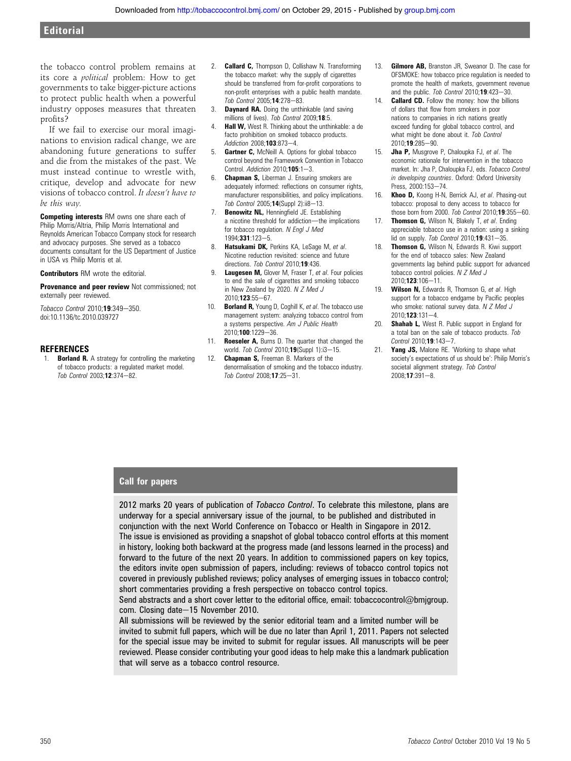the tobacco control problem remains at its core a political problem: How to get governments to take bigger-picture actions to protect public health when a powerful industry opposes measures that threaten profits?

If we fail to exercise our moral imaginations to envision radical change, we are abandoning future generations to suffer and die from the mistakes of the past. We must instead continue to wrestle with, critique, develop and advocate for new visions of tobacco control. It doesn't have to be this way.

Competing interests RM owns one share each of Philip Morris/Altria, Philip Morris International and Reynolds American Tobacco Company stock for research and advocacy purposes. She served as a tobacco documents consultant for the US Department of Justice in USA vs Philip Morris et al.

Contributors RM wrote the editorial.

Provenance and peer review Not commissioned; not externally peer reviewed.

Tobacco Control 2010;19:349-350. doi:10.1136/tc.2010.039727

#### **REFERENCES**

1. **Borland R.** A strategy for controlling the marketing of tobacco products: a regulated market model.  $\int$ *Tob Control* 2003:12:374-82.

- 2. **Callard C,** Thompson D, Collishaw N. Transforming the tobacco market: why the supply of cigarettes should be transferred from for-profit corporations to non-profit enterprises with a public health mandate.  $\int$ *Tob Control* 2005; **14**:278-83.
- 3. **Daynard RA.** Doing the unthinkable (and saving millions of lives). Tob Control 2009;18:5.
- **Hall W.** West R. Thinking about the unthinkable: a de facto prohibition on smoked tobacco products. Addiction 2008;103:873-4
- 5. **Gartner C, McNeill A. Options for global tobacco** control beyond the Framework Convention in Tobacco Control. Addiction  $2010; 105:1-3$ .
- 6. Chapman S, Liberman J. Ensuring smokers are adequately informed: reflections on consumer rights, manufacturer responsibilities, and policy implications.  $\int$ *Tob Control* 2005; **14**(Suppl 2): $\frac{18-13}{18}$
- 7. **Benowitz NL, Henningfield JE. Establishing** a nicotine threshold for addiction-the implications for tobacco regulation. N Engl J Med 1994:331:123-5.
- 8. Hatsukami DK, Perkins KA, LeSage M, et al. Nicotine reduction revisited: science and future directions. Tob Control 2010;19:436.
- 9. Laugesen M, Glover M, Fraser T, et al. Four policies to end the sale of cigarettes and smoking tobacco in New Zealand by 2020. N Z Med J 2010:123:55-67.
- 10. **Borland R,** Young D, Coghill K, et al. The tobacco use management system: analyzing tobacco control from a systems perspective. Am J Public Health 2010;100:1229-36.
- 11. Roeseler A, Burns D. The quarter that changed the world. Tob Control 2010;19(Suppl 1): $i3-15$ .
- 12. **Chapman S, Freeman B. Markers of the** denormalisation of smoking and the tobacco industry.  $T<sub>0</sub>$  Control 2008; 17:25-31.
- 13. **Gilmore AB, Branston JR, Sweanor D. The case for** OFSMOKE: how tobacco price regulation is needed to promote the health of markets, government revenue and the public. Tob Control  $2010:19:423-30$ .
- 14. **Callard CD.** Follow the money: how the billions of dollars that flow from smokers in poor nations to companies in rich nations greatly exceed funding for global tobacco control, and what might be done about it. Tob Control  $2010 \cdot 19 \cdot 285 - 90$
- 15. **Jha P,** Musgrove P, Chaloupka FJ, et al. The economic rationale for intervention in the tobacco market. In: Jha P, Chaloupka FJ, eds. Tobacco Control in developing countries. Oxford: Oxford University Press, 2000:153-74
- 16. Khoo D, Koong H-N, Berrick AJ, et al. Phasing-out tobacco: proposal to deny access to tobacco for those born from 2000. Tob Control 2010;  $19:355-60$ .
- 17. Thomson G, Wilson N, Blakely T, et al. Ending appreciable tobacco use in a nation: using a sinking lid on supply. Tob Control 2010;19:431-35.
- 18. **Thomson G.** Wilson N, Edwards R, Kiwi support for the end of tobacco sales: New Zealand governments lag behind public support for advanced tobacco control policies. N Z Med J 2010:123:106-11.
- 19. Wilson N, Edwards R, Thomson G, et al. High support for a tobacco endgame by Pacific peoples who smoke: national survey data. N Z Med J  $2010 \cdot 123 \cdot 131 - 4$
- 20. **Shahab L,** West R. Public support in England for a total ban on the sale of tobacco products. Tob  $Control$  2010:19:143-7.
- 21. Yang JS, Malone RE. 'Working to shape what society's expectations of us should be': Philip Morris's societal alignment strategy. Tob Control  $2008:17:391-8.$

#### Call for papers

2012 marks 20 years of publication of Tobacco Control. To celebrate this milestone, plans are underway for a special anniversary issue of the journal, to be published and distributed in conjunction with the next World Conference on Tobacco or Health in Singapore in 2012. The issue is envisioned as providing a snapshot of global tobacco control efforts at this moment in history, looking both backward at the progress made (and lessons learned in the process) and forward to the future of the next 20 years. In addition to commissioned papers on key topics, the editors invite open submission of papers, including: reviews of tobacco control topics not covered in previously published reviews; policy analyses of emerging issues in tobacco control; short commentaries providing a fresh perspective on tobacco control topics.

Send abstracts and a short cover letter to the editorial office, email: tobaccocontrol@bmjgroup. com. Closing date-15 November 2010.

All submissions will be reviewed by the senior editorial team and a limited number will be invited to submit full papers, which will be due no later than April 1, 2011. Papers not selected for the special issue may be invited to submit for regular issues. All manuscripts will be peer reviewed. Please consider contributing your good ideas to help make this a landmark publication that will serve as a tobacco control resource.